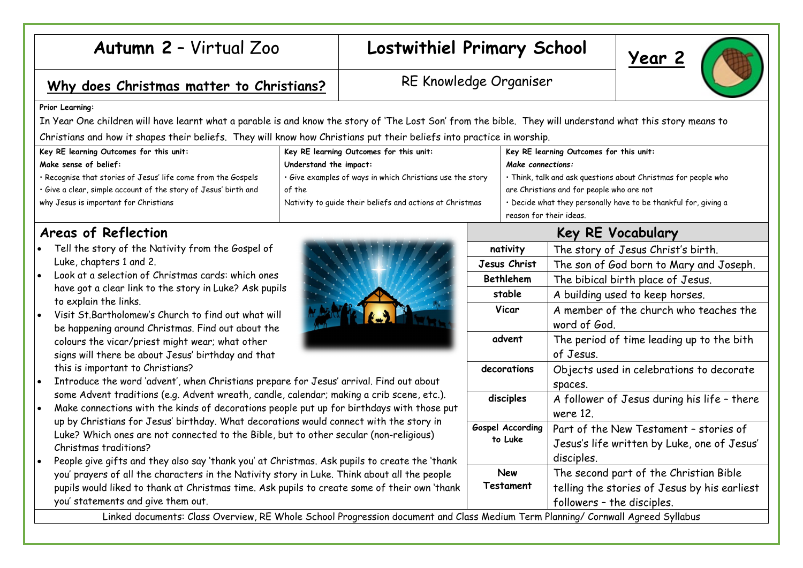# Autumn 2 – Virtual Zoo **Lostwithiel Primary School** |  $\frac{1}{\sqrt{2\pi}}$  |  $\frac{1}{\sqrt{2\pi}}$  |  $\frac{1}{\sqrt{2\pi}}$  |  $\frac{1}{\sqrt{2\pi}}$  |  $\frac{1}{\sqrt{2\pi}}$  |  $\frac{1}{\sqrt{2\pi}}$  |  $\frac{1}{\sqrt{2\pi}}$  |  $\frac{1}{\sqrt{2\pi}}$  |  $\frac{1}{\sqrt{2\pi}}$  |  $\frac{1}{\sqrt{2\pi}}$

## Why does Christmas matter to Christians? RE Knowledge Organiser

#### **Prior Learning:**

In Year One children will have learnt what a parable is and know the story of 'The Lost Son' from the bible. They will understand what this story means to Christians and how it shapes their beliefs. They will know how Christians put their beliefs into practice in worship.

| Key RE learning Outcomes for this unit:                         | Key RE learning Outcomes for this unit:                   | Key RE learning Outcomes for this unit:                         |
|-----------------------------------------------------------------|-----------------------------------------------------------|-----------------------------------------------------------------|
| Make sense of belief:                                           | Understand the impact:                                    | Make connections:                                               |
| · Recognise that stories of Jesus' life come from the Gospels   | . Give examples of ways in which Christians use the story | · Think, talk and ask questions about Christmas for people who  |
| • Give a clear, simple account of the story of Jesus' birth and | of the                                                    | are Christians and for people who are not                       |
| why Jesus is important for Christians                           | Nativity to guide their beliefs and actions at Christmas  | . Decide what they personally have to be thankful for, giving a |
|                                                                 |                                                           | reason for their ideas.                                         |

### **Areas of Reflection**

- Tell the story of the Nativity from the Gospel of Luke, chapters 1 and 2.
- Look at a selection of Christmas cards: which ones have got a clear link to the story in Luke? Ask pupils to explain the links.
- Visit St.Bartholomew's Church to find out what will be happening around Christmas. Find out about the colours the vicar/priest might wear; what other signs will there be about Jesus' birthday and that this is important to Christians?
- 
- Introduce the word 'advent', when Christians prepare for Jesus' arrival. Find out about some Advent traditions (e.g. Advent wreath, candle, calendar; making a crib scene, etc.).
- Make connections with the kinds of decorations people put up for birthdays with those put up by Christians for Jesus' birthday. What decorations would connect with the story in Luke? Which ones are not connected to the Bible, but to other secular (non-religious) Christmas traditions?
- People give gifts and they also say 'thank you' at Christmas. Ask pupils to create the 'thank you' prayers of all the characters in the Nativity story in Luke. Think about all the people pupils would liked to thank at Christmas time. Ask pupils to create some of their own 'thank you' statements and give them out.

Linked documents: Class Overview, RE Whole School Progression document and Class Medium Term Planning/ Cornwall Agreed Syllabus



**Key RE Vocabulary**

**Jesus Christ** | The son of God born to Mary and Joseph.

**Vicar**  $\vert$  A member of the church who teaches the

**advent** The period of time leading up to the bith

decorations **Objects** used in celebrations to decorate

**disciples** A follower of Jesus during his life – there

followers – the disciples.

Part of the New Testament – stories of Jesus's life written by Luke, one of Jesus'

The second part of the Christian Bible telling the stories of Jesus by his earliest

**nativity** The story of Jesus Christ's birth.

**Bethlehem** The bibical birth place of Jesus. stable | A building used to keep horses.

word of God.

of Jesus.

spaces.

were 12.

disciples.

**Gospel According to Luke**

> **New Testament**